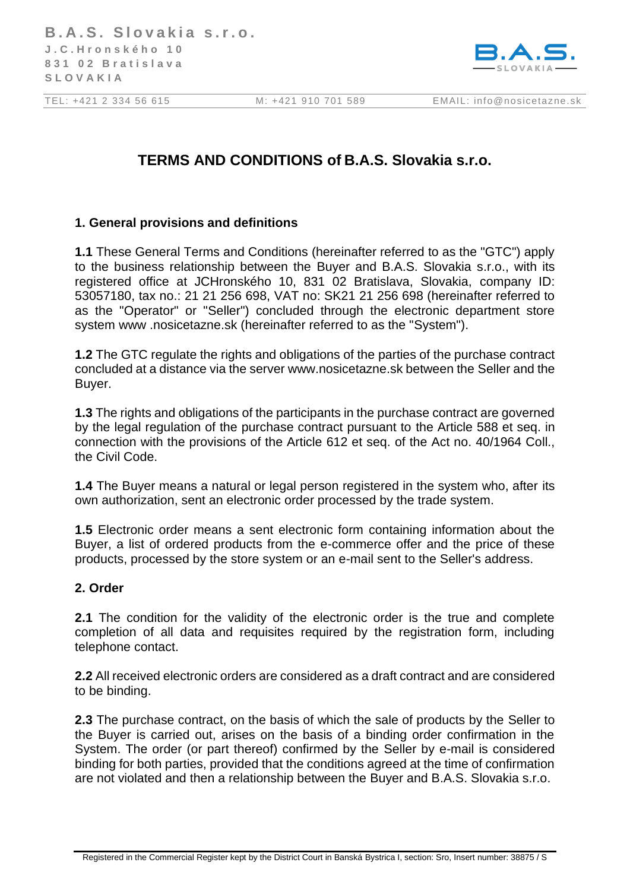

# **TERMS AND CONDITIONS of B.A.S. Slovakia s.r.o.**

# **1. General provisions and definitions**

**1.1** These General Terms and Conditions (hereinafter referred to as the "GTC") apply to the business relationship between the Buyer and B.A.S. Slovakia s.r.o., with its registered office at JCHronského 10, 831 02 Bratislava, Slovakia, company ID: 53057180, tax no.: 21 21 256 698, VAT no: SK21 21 256 698 (hereinafter referred to as the "Operator" or "Seller") concluded through the electronic department store system www .nosicetazne.sk (hereinafter referred to as the "System").

**1.2** The GTC regulate the rights and obligations of the parties of the purchase contract concluded at a distance via the server www.nosicetazne.sk between the Seller and the Buyer.

**1.3** The rights and obligations of the participants in the purchase contract are governed by the legal regulation of the purchase contract pursuant to the Article 588 et seq. in connection with the provisions of the Article 612 et seq. of the Act no. 40/1964 Coll., the Civil Code.

**1.4** The Buyer means a natural or legal person registered in the system who, after its own authorization, sent an electronic order processed by the trade system.

**1.5** Electronic order means a sent electronic form containing information about the Buyer, a list of ordered products from the e-commerce offer and the price of these products, processed by the store system or an e-mail sent to the Seller's address.

#### **2. Order**

**2.1** The condition for the validity of the electronic order is the true and complete completion of all data and requisites required by the registration form, including telephone contact.

**2.2** All received electronic orders are considered as a draft contract and are considered to be binding.

**2.3** The purchase contract, on the basis of which the sale of products by the Seller to the Buyer is carried out, arises on the basis of a binding order confirmation in the System. The order (or part thereof) confirmed by the Seller by e-mail is considered binding for both parties, provided that the conditions agreed at the time of confirmation are not violated and then a relationship between the Buyer and B.A.S. Slovakia s.r.o.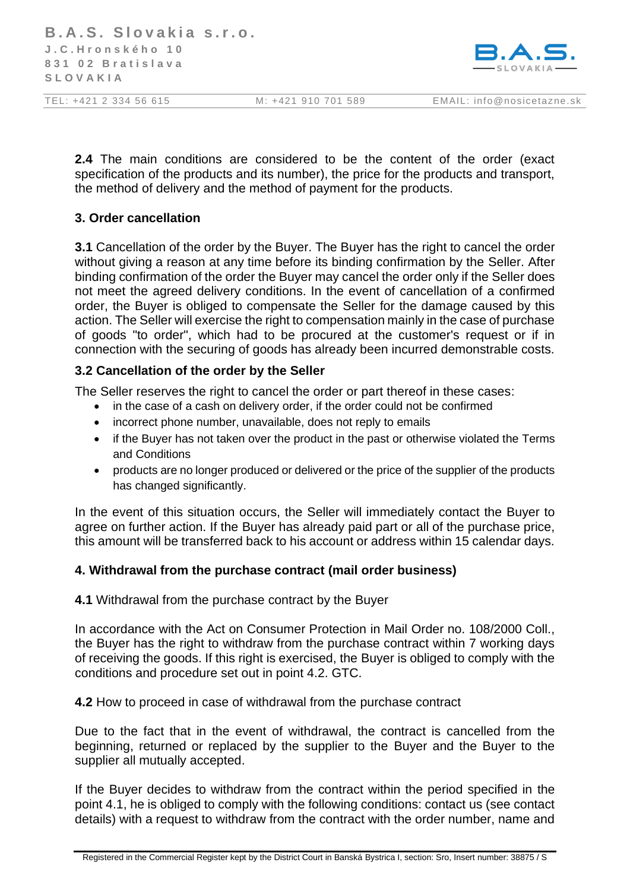

**2.4** The main conditions are considered to be the content of the order (exact specification of the products and its number), the price for the products and transport, the method of delivery and the method of payment for the products.

# **3. Order cancellation**

**3.1** Cancellation of the order by the Buyer. The Buyer has the right to cancel the order without giving a reason at any time before its binding confirmation by the Seller. After binding confirmation of the order the Buyer may cancel the order only if the Seller does not meet the agreed delivery conditions. In the event of cancellation of a confirmed order, the Buyer is obliged to compensate the Seller for the damage caused by this action. The Seller will exercise the right to compensation mainly in the case of purchase of goods "to order", which had to be procured at the customer's request or if in connection with the securing of goods has already been incurred demonstrable costs.

# **3.2 Cancellation of the order by the Seller**

The Seller reserves the right to cancel the order or part thereof in these cases:

- in the case of a cash on delivery order, if the order could not be confirmed
- incorrect phone number, unavailable, does not reply to emails
- if the Buyer has not taken over the product in the past or otherwise violated the Terms and Conditions
- products are no longer produced or delivered or the price of the supplier of the products has changed significantly.

In the event of this situation occurs, the Seller will immediately contact the Buyer to agree on further action. If the Buyer has already paid part or all of the purchase price, this amount will be transferred back to his account or address within 15 calendar days.

# **4. Withdrawal from the purchase contract (mail order business)**

**4.1** Withdrawal from the purchase contract by the Buyer

In accordance with the Act on Consumer Protection in Mail Order no. 108/2000 Coll., the Buyer has the right to withdraw from the purchase contract within 7 working days of receiving the goods. If this right is exercised, the Buyer is obliged to comply with the conditions and procedure set out in point 4.2. GTC.

**4.2** How to proceed in case of withdrawal from the purchase contract

Due to the fact that in the event of withdrawal, the contract is cancelled from the beginning, returned or replaced by the supplier to the Buyer and the Buyer to the supplier all mutually accepted.

If the Buyer decides to withdraw from the contract within the period specified in the point 4.1, he is obliged to comply with the following conditions: contact us (see contact details) with a request to withdraw from the contract with the order number, name and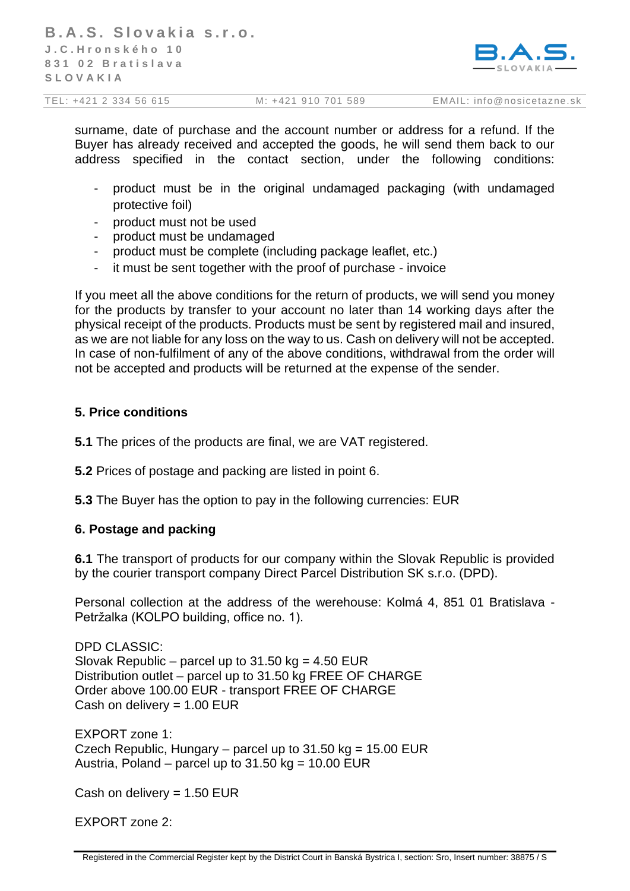

surname, date of purchase and the account number or address for a refund. If the Buyer has already received and accepted the goods, he will send them back to our address specified in the contact section, under the following conditions:

- product must be in the original undamaged packaging (with undamaged protective foil)
- product must not be used
- product must be undamaged
- product must be complete (including package leaflet, etc.)
- it must be sent together with the proof of purchase invoice

If you meet all the above conditions for the return of products, we will send you money for the products by transfer to your account no later than 14 working days after the physical receipt of the products. Products must be sent by registered mail and insured, as we are not liable for any loss on the way to us. Cash on delivery will not be accepted. In case of non-fulfilment of any of the above conditions, withdrawal from the order will not be accepted and products will be returned at the expense of the sender.

# **5. Price conditions**

**5.1** The prices of the products are final, we are VAT registered.

**5.2** Prices of postage and packing are listed in point 6.

**5.3** The Buyer has the option to pay in the following currencies: EUR

#### **6. Postage and packing**

**6.1** The transport of products for our company within the Slovak Republic is provided by the courier transport company Direct Parcel Distribution SK s.r.o. (DPD).

Personal collection at the address of the werehouse: Kolmá 4, 851 01 Bratislava - Petržalka (KOLPO building, office no. 1).

DPD CLASSIC: Slovak Republic – parcel up to  $31.50$  kg = 4.50 EUR Distribution outlet – parcel up to 31.50 kg FREE OF CHARGE Order above 100.00 EUR - transport FREE OF CHARGE Cash on delivery  $= 1.00$  EUR

EXPORT zone 1: Czech Republic, Hungary – parcel up to  $31.50$  kg =  $15.00$  EUR Austria, Poland – parcel up to  $31.50$  kg = 10.00 EUR

Cash on delivery =  $1.50$  EUR

EXPORT zone 2: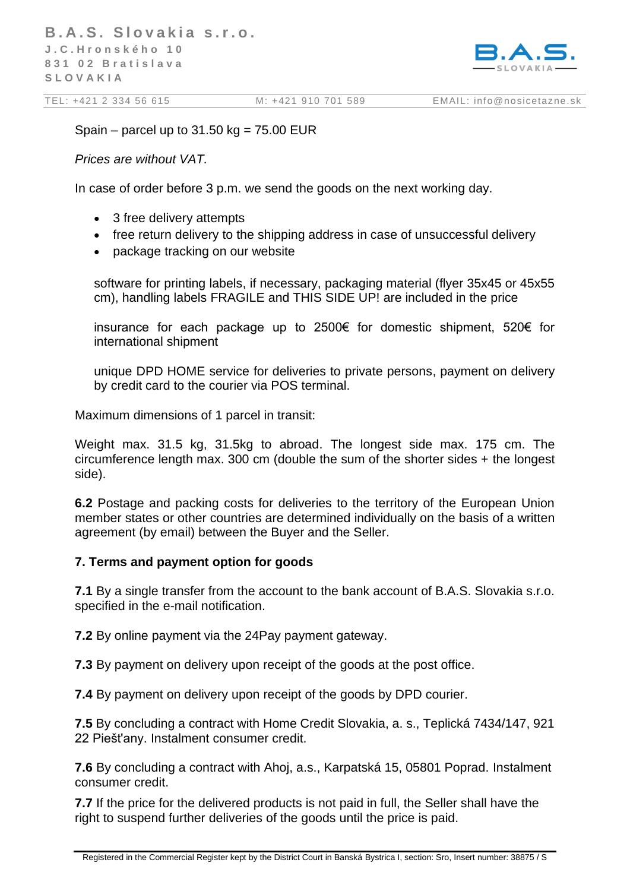

Spain – parcel up to  $31.50$  kg =  $75.00$  EUR

*Prices are without VAT.*

In case of order before 3 p.m. we send the goods on the next working day.

- 3 free delivery attempts
- free return delivery to the shipping address in case of unsuccessful delivery
- package tracking on our website

software for printing labels, if necessary, packaging material (flyer 35x45 or 45x55 cm), handling labels FRAGILE and THIS SIDE UP! are included in the price

insurance for each package up to 2500€ for domestic shipment, 520€ for international shipment

unique DPD HOME service for deliveries to private persons, payment on delivery by credit card to the courier via POS terminal.

Maximum dimensions of 1 parcel in transit:

Weight max. 31.5 kg, 31.5kg to abroad. The longest side max. 175 cm. The circumference length max. 300 cm (double the sum of the shorter sides + the longest side).

**6.2** Postage and packing costs for deliveries to the territory of the European Union member states or other countries are determined individually on the basis of a written agreement (by email) between the Buyer and the Seller.

#### **7. Terms and payment option for goods**

**7.1** By a single transfer from the account to the bank account of B.A.S. Slovakia s.r.o. specified in the e-mail notification.

**7.2** By online payment via the 24Pay payment gateway.

**7.3** By payment on delivery upon receipt of the goods at the post office.

**7.4** By payment on delivery upon receipt of the goods by DPD courier.

**7.5** By concluding a contract with Home Credit Slovakia, a. s., Teplická 7434/147, 921 22 Piešt'any. Instalment consumer credit.

**7.6** By concluding a contract with Ahoj, a.s., Karpatská 15, 05801 Poprad. Instalment consumer credit.

**7.7** If the price for the delivered products is not paid in full, the Seller shall have the right to suspend further deliveries of the goods until the price is paid.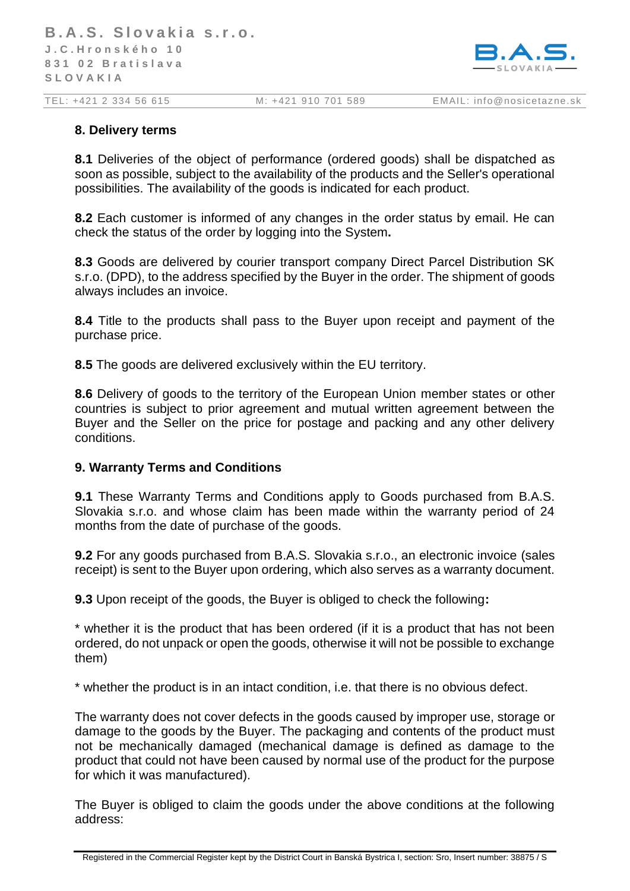

#### **8. Delivery terms**

**8.1** Deliveries of the object of performance (ordered goods) shall be dispatched as soon as possible, subject to the availability of the products and the Seller's operational possibilities. The availability of the goods is indicated for each product.

**8.2** Each customer is informed of any changes in the order status by email. He can check the status of the order by logging into the System**.**

**8.3** Goods are delivered by courier transport company Direct Parcel Distribution SK s.r.o. (DPD), to the address specified by the Buyer in the order. The shipment of goods always includes an invoice.

**8.4** Title to the products shall pass to the Buyer upon receipt and payment of the purchase price.

**8.5** The goods are delivered exclusively within the EU territory.

**8.6** Delivery of goods to the territory of the European Union member states or other countries is subject to prior agreement and mutual written agreement between the Buyer and the Seller on the price for postage and packing and any other delivery conditions.

#### **9. Warranty Terms and Conditions**

**9.1** These Warranty Terms and Conditions apply to Goods purchased from B.A.S. Slovakia s.r.o. and whose claim has been made within the warranty period of 24 months from the date of purchase of the goods.

**9.2** For any goods purchased from B.A.S. Slovakia s.r.o., an electronic invoice (sales receipt) is sent to the Buyer upon ordering, which also serves as a warranty document.

**9.3** Upon receipt of the goods, the Buyer is obliged to check the following**:**

\* whether it is the product that has been ordered (if it is a product that has not been ordered, do not unpack or open the goods, otherwise it will not be possible to exchange them)

\* whether the product is in an intact condition, i.e. that there is no obvious defect.

The warranty does not cover defects in the goods caused by improper use, storage or damage to the goods by the Buyer. The packaging and contents of the product must not be mechanically damaged (mechanical damage is defined as damage to the product that could not have been caused by normal use of the product for the purpose for which it was manufactured).

The Buyer is obliged to claim the goods under the above conditions at the following address: